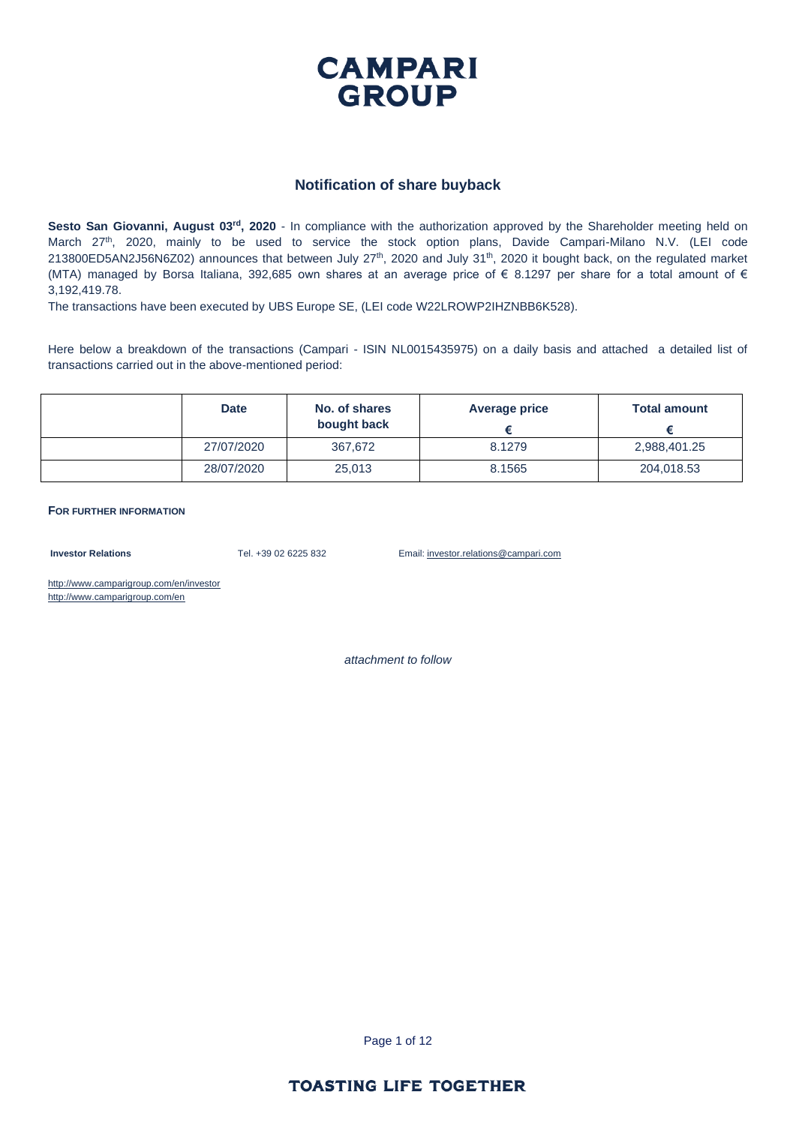

#### **Notification of share buyback**

**Sesto San Giovanni, August 03rd, 2020** - In compliance with the authorization approved by the Shareholder meeting held on March 27<sup>th</sup>, 2020, mainly to be used to service the stock option plans, Davide Campari-Milano N.V. (LEI code 213800ED5AN2J56N6Z02) announces that between July 27<sup>th</sup>, 2020 and July 31<sup>th</sup>, 2020 it bought back, on the regulated market (MTA) managed by Borsa Italiana, 392,685 own shares at an average price of  $\epsilon$  8.1297 per share for a total amount of  $\epsilon$ 3,192,419.78.

The transactions have been executed by UBS Europe SE, (LEI code W22LROWP2IHZNBB6K528).

Here below a breakdown of the transactions (Campari - ISIN NL0015435975) on a daily basis and attached a detailed list of transactions carried out in the above-mentioned period:

| <b>Date</b> | No. of shares<br>bought back | <b>Average price</b> | <b>Total amount</b> |
|-------------|------------------------------|----------------------|---------------------|
| 27/07/2020  | 367.672                      | 8.1279               | 2,988,401.25        |
| 28/07/2020  | 25,013                       | 8.1565               | 204,018.53          |

**FOR FURTHER INFORMATION**

**Investor Relations** Tel. +39 02 6225 832 Email: investor.relations@campari.com

http://www.camparigroup.com/en/investor http://www.camparigroup.com/en

*attachment to follow*

Page 1 of 12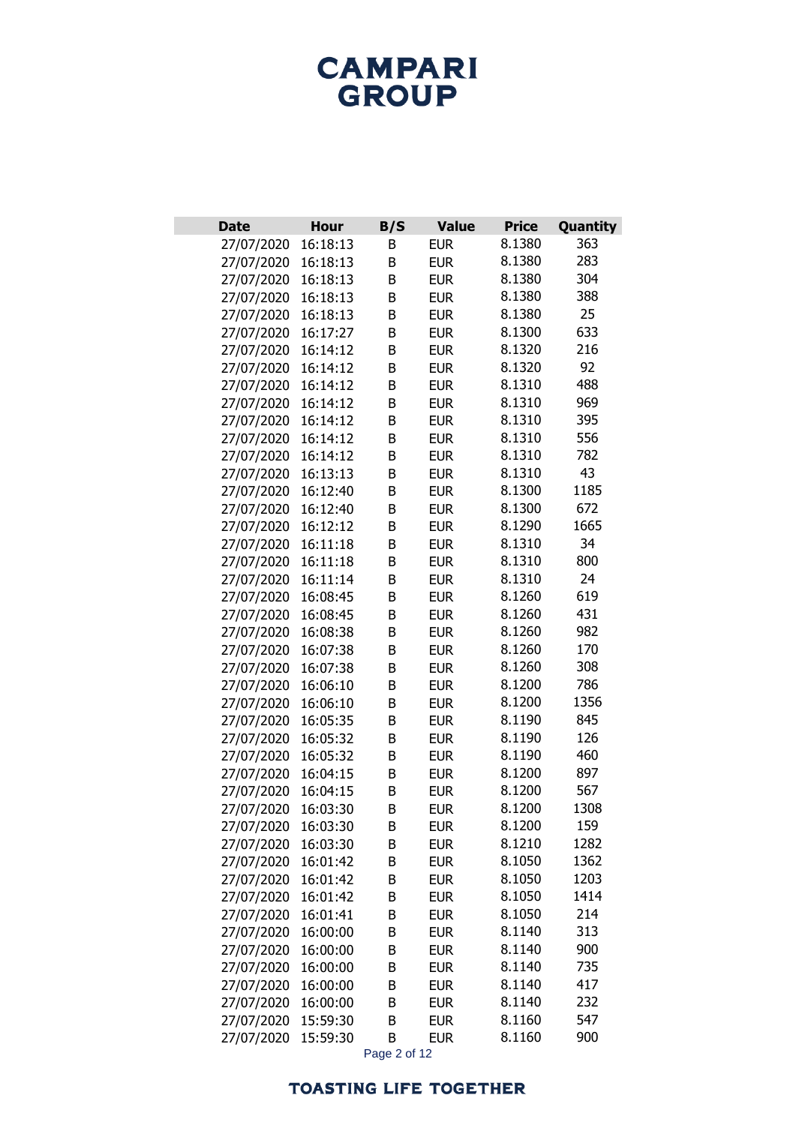| <b>Date</b>              | <b>Hour</b>          | B/S    | <b>Value</b>             | <b>Price</b>     | Quantity    |
|--------------------------|----------------------|--------|--------------------------|------------------|-------------|
| 27/07/2020               | 16:18:13             | В      | <b>EUR</b>               | 8.1380           | 363         |
| 27/07/2020               | 16:18:13             | B      | <b>EUR</b>               | 8.1380           | 283         |
| 27/07/2020               | 16:18:13             | B      | <b>EUR</b>               | 8.1380           | 304         |
| 27/07/2020               | 16:18:13             | B      | <b>EUR</b>               | 8.1380           | 388         |
| 27/07/2020               | 16:18:13             | B      | <b>EUR</b>               | 8.1380           | 25          |
| 27/07/2020               | 16:17:27             | B      | <b>EUR</b>               | 8.1300           | 633         |
| 27/07/2020               | 16:14:12             | B      | <b>EUR</b>               | 8.1320           | 216         |
| 27/07/2020               | 16:14:12             | B      | <b>EUR</b>               | 8.1320           | 92          |
| 27/07/2020               | 16:14:12             | B      | <b>EUR</b>               | 8.1310           | 488         |
| 27/07/2020               | 16:14:12             | B      | <b>EUR</b>               | 8.1310           | 969         |
| 27/07/2020               | 16:14:12             | B      | <b>EUR</b>               | 8.1310           | 395         |
| 27/07/2020               | 16:14:12             | B      | <b>EUR</b>               | 8.1310           | 556         |
| 27/07/2020               | 16:14:12             | B      | <b>EUR</b>               | 8.1310           | 782         |
| 27/07/2020               | 16:13:13             | B      | <b>EUR</b>               | 8.1310           | 43          |
| 27/07/2020               | 16:12:40             | B      | <b>EUR</b>               | 8.1300           | 1185        |
| 27/07/2020               | 16:12:40             | B      | <b>EUR</b>               | 8.1300           | 672         |
| 27/07/2020               | 16:12:12             | B      | <b>EUR</b>               | 8.1290           | 1665        |
| 27/07/2020               | 16:11:18             | B      | <b>EUR</b>               | 8.1310           | 34          |
| 27/07/2020               | 16:11:18             | B      | <b>EUR</b>               | 8.1310           | 800         |
| 27/07/2020               | 16:11:14             | B      | <b>EUR</b>               | 8.1310           | 24          |
| 27/07/2020               | 16:08:45             | B      | <b>EUR</b>               | 8.1260           | 619         |
| 27/07/2020               | 16:08:45             | B      | <b>EUR</b>               | 8.1260           | 431         |
| 27/07/2020               | 16:08:38             | B      | <b>EUR</b>               | 8.1260           | 982         |
| 27/07/2020               | 16:07:38             | B      | <b>EUR</b>               | 8.1260           | 170         |
| 27/07/2020               | 16:07:38             | B      | <b>EUR</b>               | 8.1260           | 308         |
| 27/07/2020               | 16:06:10             | B      | <b>EUR</b>               | 8.1200           | 786         |
| 27/07/2020               | 16:06:10             | B      | <b>EUR</b>               | 8.1200           | 1356        |
| 27/07/2020               | 16:05:35             | B      | <b>EUR</b>               | 8.1190           | 845         |
| 27/07/2020               | 16:05:32             | B      | <b>EUR</b>               | 8.1190           | 126         |
| 27/07/2020               | 16:05:32             | B      | <b>EUR</b>               | 8.1190           | 460         |
| 27/07/2020               | 16:04:15             | B      | <b>EUR</b>               | 8.1200           | 897         |
| 27/07/2020               | 16:04:15             | B      | <b>EUR</b>               | 8.1200<br>8.1200 | 567<br>1308 |
| 27/07/2020               | 16:03:30             | B      | <b>EUR</b>               | 8.1200           | 159         |
| 27/07/2020<br>27/07/2020 | 16:03:30<br>16:03:30 | B<br>B | <b>EUR</b><br><b>EUR</b> | 8.1210           | 1282        |
| 27/07/2020               | 16:01:42             | B      | <b>EUR</b>               | 8.1050           | 1362        |
| 27/07/2020               | 16:01:42             | B      | <b>EUR</b>               | 8.1050           | 1203        |
| 27/07/2020               | 16:01:42             | B      | <b>EUR</b>               | 8.1050           | 1414        |
| 27/07/2020               | 16:01:41             | В      | <b>EUR</b>               | 8.1050           | 214         |
| 27/07/2020               | 16:00:00             | B      | <b>EUR</b>               | 8.1140           | 313         |
| 27/07/2020               | 16:00:00             | B      | <b>EUR</b>               | 8.1140           | 900         |
| 27/07/2020               | 16:00:00             | B      | <b>EUR</b>               | 8.1140           | 735         |
| 27/07/2020               | 16:00:00             | B      | <b>EUR</b>               | 8.1140           | 417         |
| 27/07/2020               | 16:00:00             | В      | <b>EUR</b>               | 8.1140           | 232         |
| 27/07/2020               |                      |        |                          |                  |             |
|                          | 15:59:30             | B      | <b>EUR</b>               | 8.1160           | 547         |

Page 2 of 12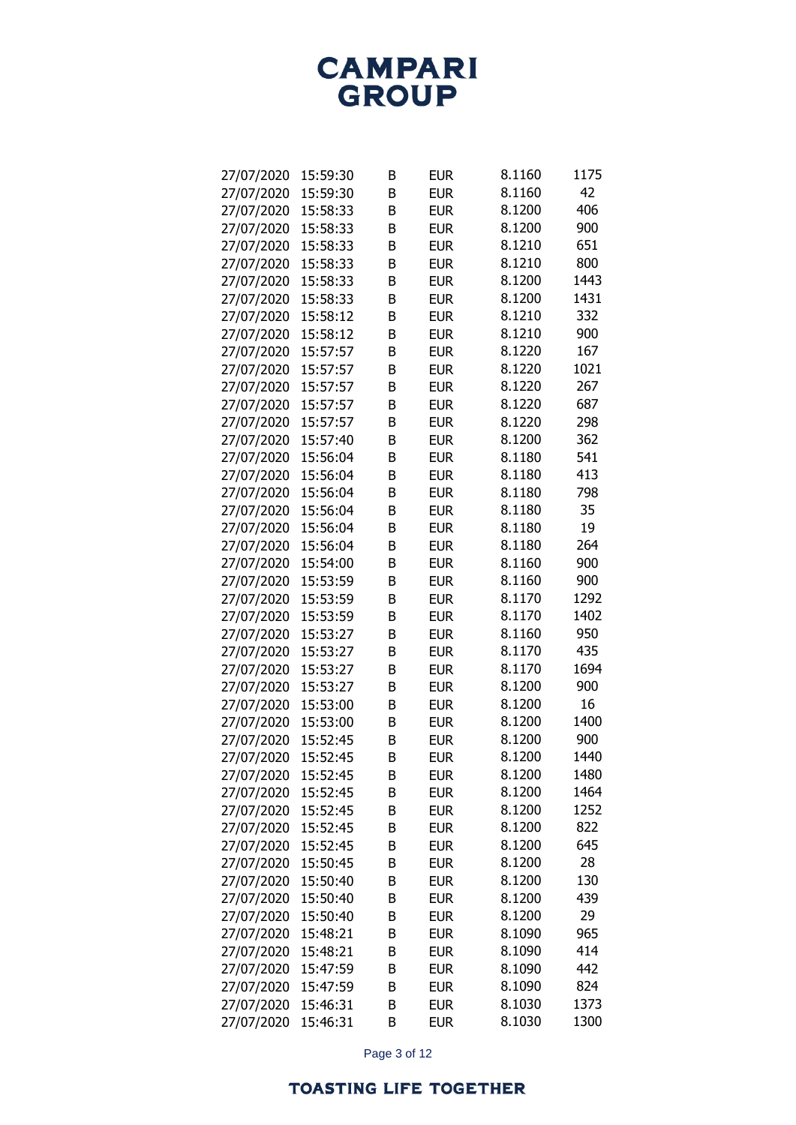| 27/07/2020 | 15:59:30 | B | <b>EUR</b> | 8.1160 | 1175 |
|------------|----------|---|------------|--------|------|
| 27/07/2020 | 15:59:30 | B | <b>EUR</b> | 8.1160 | 42   |
| 27/07/2020 | 15:58:33 | B | <b>EUR</b> | 8.1200 | 406  |
| 27/07/2020 | 15:58:33 | B | <b>EUR</b> | 8.1200 | 900  |
| 27/07/2020 | 15:58:33 | B | <b>EUR</b> | 8.1210 | 651  |
| 27/07/2020 | 15:58:33 | B | <b>EUR</b> | 8.1210 | 800  |
| 27/07/2020 | 15:58:33 | B | <b>EUR</b> | 8.1200 | 1443 |
| 27/07/2020 | 15:58:33 | B | <b>EUR</b> | 8.1200 | 1431 |
| 27/07/2020 | 15:58:12 | B | <b>EUR</b> | 8.1210 | 332  |
| 27/07/2020 | 15:58:12 | B | <b>EUR</b> | 8.1210 | 900  |
| 27/07/2020 | 15:57:57 | B | <b>EUR</b> | 8.1220 | 167  |
| 27/07/2020 | 15:57:57 | B | <b>EUR</b> | 8.1220 | 1021 |
| 27/07/2020 | 15:57:57 | B | <b>EUR</b> | 8.1220 | 267  |
| 27/07/2020 | 15:57:57 | B | <b>EUR</b> | 8.1220 | 687  |
| 27/07/2020 | 15:57:57 | B | <b>EUR</b> | 8.1220 | 298  |
| 27/07/2020 | 15:57:40 | B | <b>EUR</b> | 8.1200 | 362  |
| 27/07/2020 | 15:56:04 | B | <b>EUR</b> | 8.1180 | 541  |
| 27/07/2020 | 15:56:04 | B | <b>EUR</b> | 8.1180 | 413  |
| 27/07/2020 | 15:56:04 | B | <b>EUR</b> | 8.1180 | 798  |
| 27/07/2020 | 15:56:04 | B | <b>EUR</b> | 8.1180 | 35   |
| 27/07/2020 | 15:56:04 | B | <b>EUR</b> | 8.1180 | 19   |
| 27/07/2020 | 15:56:04 | B | <b>EUR</b> | 8.1180 | 264  |
| 27/07/2020 | 15:54:00 | B | <b>EUR</b> | 8.1160 | 900  |
| 27/07/2020 | 15:53:59 | B | <b>EUR</b> | 8.1160 | 900  |
| 27/07/2020 | 15:53:59 | B | <b>EUR</b> | 8.1170 | 1292 |
| 27/07/2020 | 15:53:59 | B | <b>EUR</b> | 8.1170 | 1402 |
| 27/07/2020 | 15:53:27 | B | <b>EUR</b> | 8.1160 | 950  |
| 27/07/2020 | 15:53:27 | B | <b>EUR</b> | 8.1170 | 435  |
| 27/07/2020 | 15:53:27 | B | <b>EUR</b> | 8.1170 | 1694 |
| 27/07/2020 | 15:53:27 | B | <b>EUR</b> | 8.1200 | 900  |
| 27/07/2020 | 15:53:00 | B | <b>EUR</b> | 8.1200 | 16   |
| 27/07/2020 | 15:53:00 | B | <b>EUR</b> | 8.1200 | 1400 |
| 27/07/2020 | 15:52:45 | B | <b>EUR</b> | 8.1200 | 900  |
| 27/07/2020 | 15:52:45 | B | <b>EUR</b> | 8.1200 | 1440 |
| 27/07/2020 | 15:52:45 | В | <b>EUR</b> | 8.1200 | 1480 |
| 27/07/2020 | 15:52:45 | В | <b>EUR</b> | 8.1200 | 1464 |
| 27/07/2020 | 15:52:45 | В | <b>EUR</b> | 8.1200 | 1252 |
| 27/07/2020 | 15:52:45 | B | <b>EUR</b> | 8.1200 | 822  |
| 27/07/2020 | 15:52:45 | В | <b>EUR</b> | 8.1200 | 645  |
| 27/07/2020 | 15:50:45 | В | <b>EUR</b> | 8.1200 | 28   |
| 27/07/2020 | 15:50:40 | В | <b>EUR</b> | 8.1200 | 130  |
| 27/07/2020 | 15:50:40 | В | <b>EUR</b> | 8.1200 | 439  |
| 27/07/2020 | 15:50:40 | B | <b>EUR</b> | 8.1200 | 29   |
| 27/07/2020 | 15:48:21 | B | <b>EUR</b> | 8.1090 | 965  |
| 27/07/2020 | 15:48:21 | B | <b>EUR</b> | 8.1090 | 414  |
| 27/07/2020 | 15:47:59 | В | <b>EUR</b> | 8.1090 | 442  |
| 27/07/2020 | 15:47:59 | В | <b>EUR</b> | 8.1090 | 824  |
| 27/07/2020 | 15:46:31 | B | <b>EUR</b> | 8.1030 | 1373 |
| 27/07/2020 | 15:46:31 | B | <b>EUR</b> | 8.1030 | 1300 |

Page 3 of 12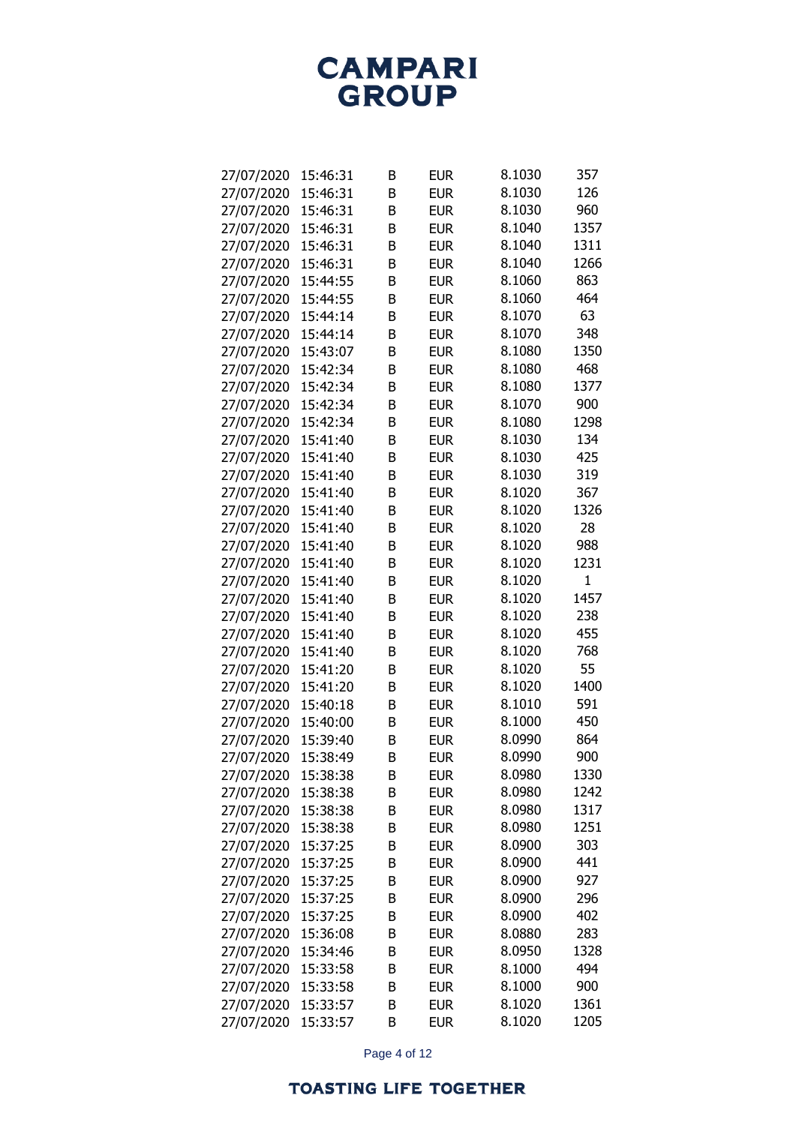| 27/07/2020 | 15:46:31             | В      | <b>EUR</b>               | 8.1030 | 357          |
|------------|----------------------|--------|--------------------------|--------|--------------|
| 27/07/2020 | 15:46:31             | B      | <b>EUR</b>               | 8.1030 | 126          |
| 27/07/2020 | 15:46:31             | B      | <b>EUR</b>               | 8.1030 | 960          |
| 27/07/2020 | 15:46:31             | B      | <b>EUR</b>               | 8.1040 | 1357         |
| 27/07/2020 | 15:46:31             | B      | <b>EUR</b>               | 8.1040 | 1311         |
| 27/07/2020 | 15:46:31             | B      | <b>EUR</b>               | 8.1040 | 1266         |
| 27/07/2020 | 15:44:55             | B      | <b>EUR</b>               | 8.1060 | 863          |
| 27/07/2020 | 15:44:55             | B      | <b>EUR</b>               | 8.1060 | 464          |
| 27/07/2020 | 15:44:14             | B      | <b>EUR</b>               | 8.1070 | 63           |
| 27/07/2020 | 15:44:14             | B      | <b>EUR</b>               | 8.1070 | 348          |
| 27/07/2020 | 15:43:07             | B      | <b>EUR</b>               | 8.1080 | 1350         |
| 27/07/2020 | 15:42:34             | B      | <b>EUR</b>               | 8.1080 | 468          |
| 27/07/2020 | 15:42:34             | B      | <b>EUR</b>               | 8.1080 | 1377         |
| 27/07/2020 | 15:42:34             | B      | <b>EUR</b>               | 8.1070 | 900          |
| 27/07/2020 | 15:42:34             | B      | <b>EUR</b>               | 8.1080 | 1298         |
| 27/07/2020 | 15:41:40             | B      | <b>EUR</b>               | 8.1030 | 134          |
| 27/07/2020 | 15:41:40             | B      | <b>EUR</b>               | 8.1030 | 425          |
| 27/07/2020 | 15:41:40             | B      | <b>EUR</b>               | 8.1030 | 319          |
| 27/07/2020 | 15:41:40             | B      | <b>EUR</b>               | 8.1020 | 367          |
| 27/07/2020 | 15:41:40             | B      | <b>EUR</b>               | 8.1020 | 1326         |
| 27/07/2020 | 15:41:40             | B      | <b>EUR</b>               | 8.1020 | 28           |
| 27/07/2020 | 15:41:40             | B      | <b>EUR</b>               | 8.1020 | 988          |
| 27/07/2020 | 15:41:40             | B      | <b>EUR</b>               | 8.1020 | 1231         |
| 27/07/2020 | 15:41:40             | B      | <b>EUR</b>               | 8.1020 | $\mathbf{1}$ |
| 27/07/2020 | 15:41:40             | B      | <b>EUR</b>               | 8.1020 | 1457         |
| 27/07/2020 | 15:41:40             | B      | <b>EUR</b>               | 8.1020 | 238          |
| 27/07/2020 | 15:41:40             | B      | <b>EUR</b>               | 8.1020 | 455          |
| 27/07/2020 | 15:41:40             | B      | <b>EUR</b>               | 8.1020 | 768          |
| 27/07/2020 | 15:41:20             | B      | <b>EUR</b>               | 8.1020 | 55           |
| 27/07/2020 | 15:41:20             | B      | <b>EUR</b>               | 8.1020 | 1400         |
| 27/07/2020 | 15:40:18             | B      | <b>EUR</b>               | 8.1010 | 591          |
| 27/07/2020 | 15:40:00             | B      | <b>EUR</b>               | 8.1000 | 450          |
| 27/07/2020 | 15:39:40             | B      | <b>EUR</b>               | 8.0990 | 864          |
| 27/07/2020 | 15:38:49             | B      | <b>EUR</b>               | 8.0990 | 900          |
| 27/07/2020 | 15:38:38             |        | <b>EUR</b>               | 8.0980 | 1330         |
| 27/07/2020 | 15:38:38             | В<br>В | <b>EUR</b>               | 8.0980 | 1242         |
| 27/07/2020 |                      |        |                          | 8.0980 | 1317         |
|            | 15:38:38<br>15:38:38 | В      | <b>EUR</b><br><b>EUR</b> | 8.0980 | 1251         |
| 27/07/2020 |                      | В      | <b>EUR</b>               | 8.0900 |              |
| 27/07/2020 | 15:37:25             | В      |                          |        | 303<br>441   |
| 27/07/2020 | 15:37:25             | В      | <b>EUR</b>               | 8.0900 |              |
| 27/07/2020 | 15:37:25             | В      | <b>EUR</b>               | 8.0900 | 927          |
| 27/07/2020 | 15:37:25             | В      | <b>EUR</b>               | 8.0900 | 296          |
| 27/07/2020 | 15:37:25             | B      | <b>EUR</b>               | 8.0900 | 402          |
| 27/07/2020 | 15:36:08             | B      | <b>EUR</b>               | 8.0880 | 283          |
| 27/07/2020 | 15:34:46             | B      | <b>EUR</b>               | 8.0950 | 1328         |
| 27/07/2020 | 15:33:58             | В      | <b>EUR</b>               | 8.1000 | 494          |
| 27/07/2020 | 15:33:58             | В      | <b>EUR</b>               | 8.1000 | 900          |
| 27/07/2020 | 15:33:57             | В      | <b>EUR</b>               | 8.1020 | 1361         |
| 27/07/2020 | 15:33:57             | B      | <b>EUR</b>               | 8.1020 | 1205         |

Page 4 of 12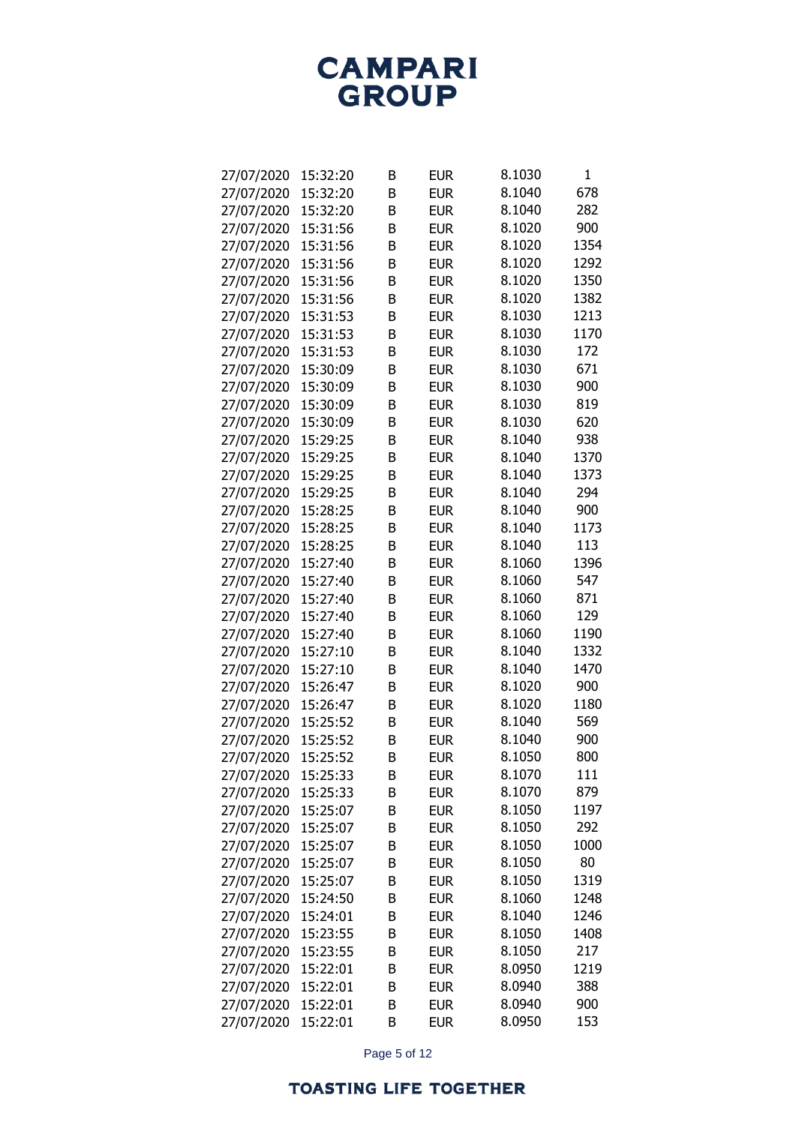| 27/07/2020 | 15:32:20 | В | <b>EUR</b> | 8.1030 | 1    |
|------------|----------|---|------------|--------|------|
| 27/07/2020 | 15:32:20 | B | <b>EUR</b> | 8.1040 | 678  |
| 27/07/2020 | 15:32:20 | B | <b>EUR</b> | 8.1040 | 282  |
| 27/07/2020 | 15:31:56 | B | <b>EUR</b> | 8.1020 | 900  |
| 27/07/2020 | 15:31:56 | B | <b>EUR</b> | 8.1020 | 1354 |
| 27/07/2020 | 15:31:56 | B | <b>EUR</b> | 8.1020 | 1292 |
| 27/07/2020 | 15:31:56 | B | <b>EUR</b> | 8.1020 | 1350 |
| 27/07/2020 | 15:31:56 | B | <b>EUR</b> | 8.1020 | 1382 |
| 27/07/2020 | 15:31:53 | B | <b>EUR</b> | 8.1030 | 1213 |
| 27/07/2020 | 15:31:53 | B | <b>EUR</b> | 8.1030 | 1170 |
| 27/07/2020 | 15:31:53 | B | <b>EUR</b> | 8.1030 | 172  |
| 27/07/2020 | 15:30:09 | B | <b>EUR</b> | 8.1030 | 671  |
| 27/07/2020 | 15:30:09 | B | <b>EUR</b> | 8.1030 | 900  |
| 27/07/2020 | 15:30:09 | B | <b>EUR</b> | 8.1030 | 819  |
| 27/07/2020 | 15:30:09 | B | <b>EUR</b> | 8.1030 | 620  |
| 27/07/2020 | 15:29:25 | B | <b>EUR</b> | 8.1040 | 938  |
| 27/07/2020 | 15:29:25 | B | <b>EUR</b> | 8.1040 | 1370 |
| 27/07/2020 | 15:29:25 | B | <b>EUR</b> | 8.1040 | 1373 |
| 27/07/2020 | 15:29:25 | B | <b>EUR</b> | 8.1040 | 294  |
| 27/07/2020 | 15:28:25 | B | <b>EUR</b> | 8.1040 | 900  |
| 27/07/2020 | 15:28:25 | B | <b>EUR</b> | 8.1040 | 1173 |
| 27/07/2020 | 15:28:25 | B | <b>EUR</b> | 8.1040 | 113  |
| 27/07/2020 | 15:27:40 | B | <b>EUR</b> | 8.1060 | 1396 |
| 27/07/2020 | 15:27:40 | B | <b>EUR</b> | 8.1060 | 547  |
| 27/07/2020 | 15:27:40 | B | <b>EUR</b> | 8.1060 | 871  |
| 27/07/2020 | 15:27:40 | B | <b>EUR</b> | 8.1060 | 129  |
| 27/07/2020 | 15:27:40 | B | <b>EUR</b> | 8.1060 | 1190 |
| 27/07/2020 | 15:27:10 | B | <b>EUR</b> | 8.1040 | 1332 |
| 27/07/2020 | 15:27:10 | B | <b>EUR</b> | 8.1040 | 1470 |
| 27/07/2020 | 15:26:47 | B | <b>EUR</b> | 8.1020 | 900  |
| 27/07/2020 | 15:26:47 | B | <b>EUR</b> | 8.1020 | 1180 |
| 27/07/2020 | 15:25:52 | B | <b>EUR</b> | 8.1040 | 569  |
| 27/07/2020 | 15:25:52 | B | <b>EUR</b> | 8.1040 | 900  |
| 27/07/2020 | 15:25:52 | B | <b>EUR</b> | 8.1050 | 800  |
| 27/07/2020 | 15:25:33 | В | <b>EUR</b> | 8.1070 | 111  |
| 27/07/2020 | 15:25:33 | В | <b>EUR</b> | 8.1070 | 879  |
| 27/07/2020 | 15:25:07 | В | <b>EUR</b> | 8.1050 | 1197 |
| 27/07/2020 | 15:25:07 | B | <b>EUR</b> | 8.1050 | 292  |
| 27/07/2020 | 15:25:07 | В | <b>EUR</b> | 8.1050 | 1000 |
| 27/07/2020 | 15:25:07 | B | <b>EUR</b> | 8.1050 | 80   |
| 27/07/2020 | 15:25:07 | В | <b>EUR</b> | 8.1050 | 1319 |
| 27/07/2020 | 15:24:50 | В | <b>EUR</b> | 8.1060 | 1248 |
| 27/07/2020 | 15:24:01 | B | <b>EUR</b> | 8.1040 | 1246 |
| 27/07/2020 | 15:23:55 | B | <b>EUR</b> | 8.1050 | 1408 |
| 27/07/2020 | 15:23:55 | B | <b>EUR</b> | 8.1050 | 217  |
| 27/07/2020 | 15:22:01 | В | <b>EUR</b> | 8.0950 | 1219 |
| 27/07/2020 | 15:22:01 | В | <b>EUR</b> | 8.0940 | 388  |
| 27/07/2020 | 15:22:01 | B | <b>EUR</b> | 8.0940 | 900  |
| 27/07/2020 | 15:22:01 | B | <b>EUR</b> | 8.0950 | 153  |
|            |          |   |            |        |      |

Page 5 of 12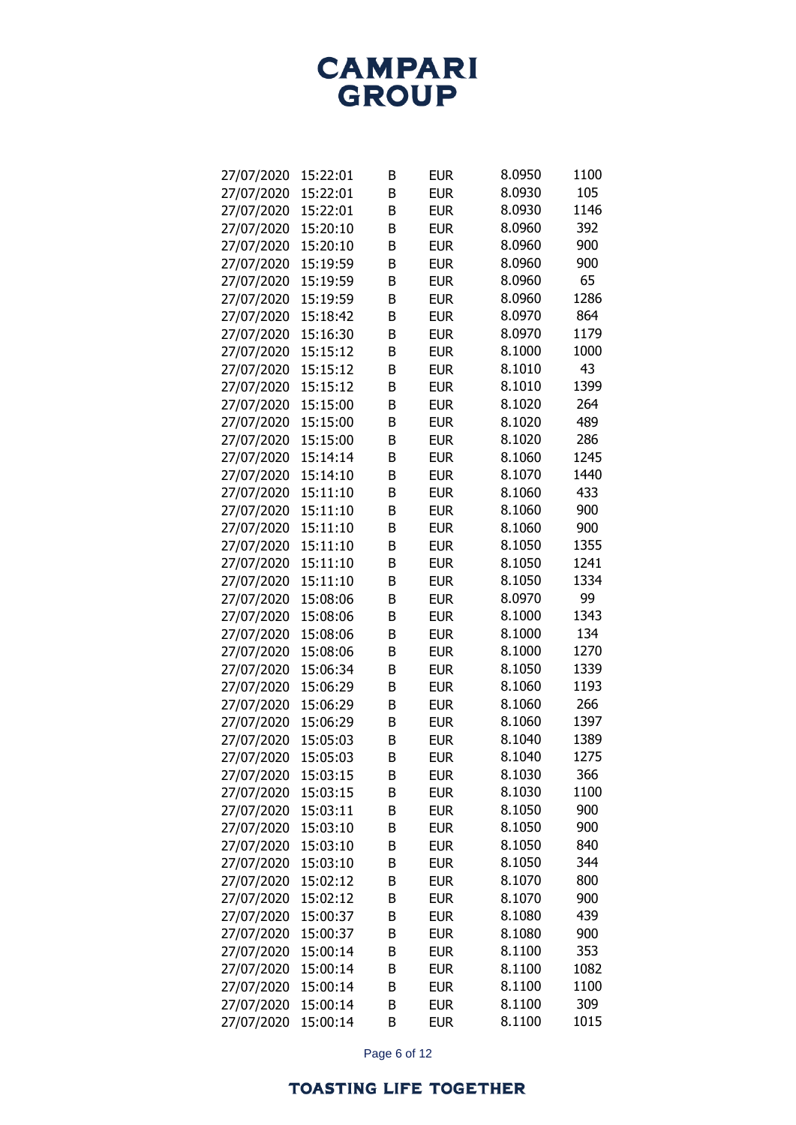| 27/07/2020 | 15:22:01 | В | <b>EUR</b> | 8.0950 | 1100 |
|------------|----------|---|------------|--------|------|
| 27/07/2020 | 15:22:01 | B | <b>EUR</b> | 8.0930 | 105  |
| 27/07/2020 | 15:22:01 | B | <b>EUR</b> | 8.0930 | 1146 |
| 27/07/2020 | 15:20:10 | B | <b>EUR</b> | 8.0960 | 392  |
| 27/07/2020 | 15:20:10 | B | <b>EUR</b> | 8.0960 | 900  |
| 27/07/2020 | 15:19:59 | B | <b>EUR</b> | 8.0960 | 900  |
| 27/07/2020 | 15:19:59 | B | <b>EUR</b> | 8.0960 | 65   |
| 27/07/2020 | 15:19:59 | B | <b>EUR</b> | 8.0960 | 1286 |
| 27/07/2020 | 15:18:42 | B | <b>EUR</b> | 8.0970 | 864  |
| 27/07/2020 | 15:16:30 | B | <b>EUR</b> | 8.0970 | 1179 |
| 27/07/2020 | 15:15:12 | B | <b>EUR</b> | 8.1000 | 1000 |
| 27/07/2020 | 15:15:12 | B | <b>EUR</b> | 8.1010 | 43   |
| 27/07/2020 | 15:15:12 | B | <b>EUR</b> | 8.1010 | 1399 |
| 27/07/2020 | 15:15:00 | B | <b>EUR</b> | 8.1020 | 264  |
| 27/07/2020 | 15:15:00 | B | <b>EUR</b> | 8.1020 | 489  |
| 27/07/2020 | 15:15:00 | B | <b>EUR</b> | 8.1020 | 286  |
| 27/07/2020 | 15:14:14 | B | <b>EUR</b> | 8.1060 | 1245 |
| 27/07/2020 | 15:14:10 | B | <b>EUR</b> | 8.1070 | 1440 |
| 27/07/2020 | 15:11:10 | B | <b>EUR</b> | 8.1060 | 433  |
| 27/07/2020 | 15:11:10 | B | <b>EUR</b> | 8.1060 | 900  |
| 27/07/2020 | 15:11:10 | B | <b>EUR</b> | 8.1060 | 900  |
| 27/07/2020 | 15:11:10 | B | <b>EUR</b> | 8.1050 | 1355 |
| 27/07/2020 | 15:11:10 | B | <b>EUR</b> | 8.1050 | 1241 |
| 27/07/2020 | 15:11:10 | B | <b>EUR</b> | 8.1050 | 1334 |
| 27/07/2020 | 15:08:06 | B | <b>EUR</b> | 8.0970 | 99   |
| 27/07/2020 | 15:08:06 | B | <b>EUR</b> | 8.1000 | 1343 |
| 27/07/2020 | 15:08:06 | B | <b>EUR</b> | 8.1000 | 134  |
| 27/07/2020 | 15:08:06 | B | <b>EUR</b> | 8.1000 | 1270 |
| 27/07/2020 | 15:06:34 | B | <b>EUR</b> | 8.1050 | 1339 |
| 27/07/2020 | 15:06:29 | B | <b>EUR</b> | 8.1060 | 1193 |
| 27/07/2020 | 15:06:29 | B | <b>EUR</b> | 8.1060 | 266  |
| 27/07/2020 | 15:06:29 | B | <b>EUR</b> | 8.1060 | 1397 |
| 27/07/2020 | 15:05:03 | B | <b>EUR</b> | 8.1040 | 1389 |
| 27/07/2020 | 15:05:03 | B | <b>EUR</b> | 8.1040 | 1275 |
| 27/07/2020 | 15:03:15 |   | <b>EUR</b> | 8.1030 | 366  |
|            | 15:03:15 | В | <b>EUR</b> | 8.1030 | 1100 |
| 27/07/2020 |          | В |            | 8.1050 | 900  |
| 27/07/2020 | 15:03:11 | В | <b>EUR</b> |        |      |
| 27/07/2020 | 15:03:10 | В | <b>EUR</b> | 8.1050 | 900  |
| 27/07/2020 | 15:03:10 | В | <b>EUR</b> | 8.1050 | 840  |
| 27/07/2020 | 15:03:10 | В | <b>EUR</b> | 8.1050 | 344  |
| 27/07/2020 | 15:02:12 | В | <b>EUR</b> | 8.1070 | 800  |
| 27/07/2020 | 15:02:12 | В | <b>EUR</b> | 8.1070 | 900  |
| 27/07/2020 | 15:00:37 | В | <b>EUR</b> | 8.1080 | 439  |
| 27/07/2020 | 15:00:37 | В | <b>EUR</b> | 8.1080 | 900  |
| 27/07/2020 | 15:00:14 | B | <b>EUR</b> | 8.1100 | 353  |
| 27/07/2020 | 15:00:14 | В | <b>EUR</b> | 8.1100 | 1082 |
| 27/07/2020 | 15:00:14 | В | <b>EUR</b> | 8.1100 | 1100 |
| 27/07/2020 | 15:00:14 | В | <b>EUR</b> | 8.1100 | 309  |
| 27/07/2020 | 15:00:14 | B | <b>EUR</b> | 8.1100 | 1015 |

Page 6 of 12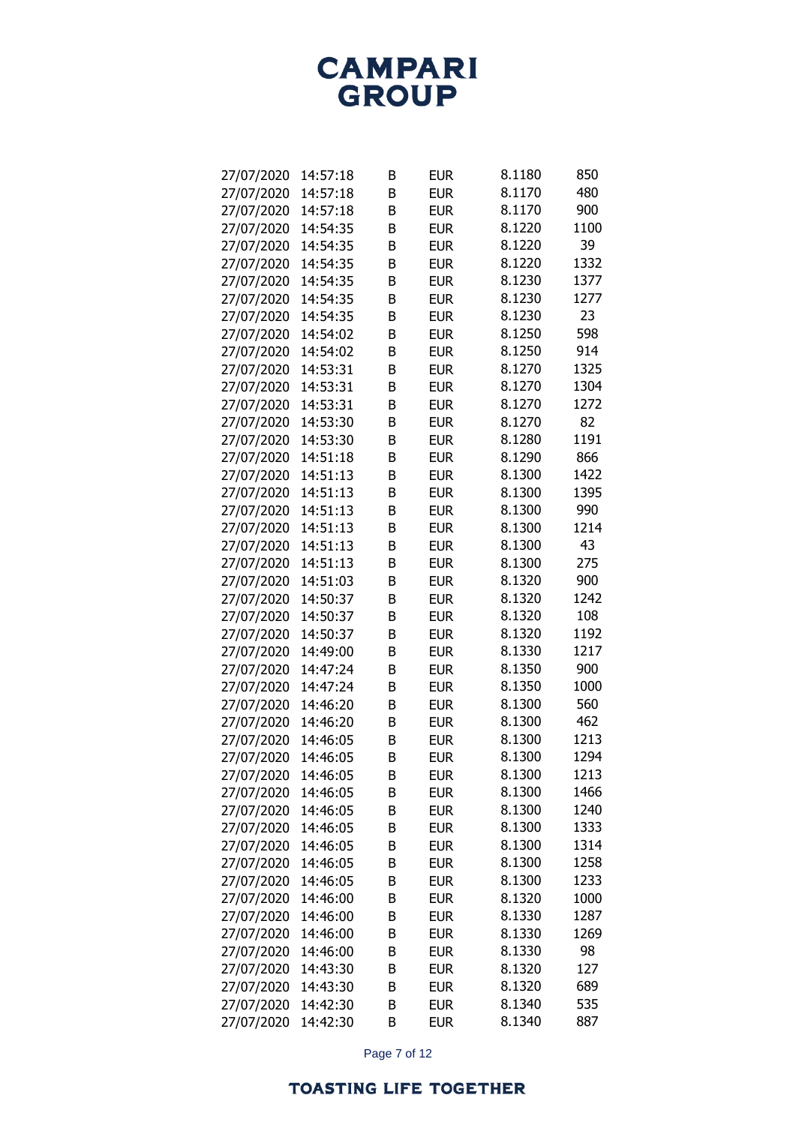| 27/07/2020 | 14:57:18 | B | <b>EUR</b> | 8.1180 | 850  |
|------------|----------|---|------------|--------|------|
| 27/07/2020 | 14:57:18 | B | <b>EUR</b> | 8.1170 | 480  |
| 27/07/2020 | 14:57:18 | B | <b>EUR</b> | 8.1170 | 900  |
| 27/07/2020 | 14:54:35 | B | <b>EUR</b> | 8.1220 | 1100 |
| 27/07/2020 | 14:54:35 | B | <b>EUR</b> | 8.1220 | 39   |
| 27/07/2020 | 14:54:35 | B | <b>EUR</b> | 8.1220 | 1332 |
| 27/07/2020 | 14:54:35 | B | <b>EUR</b> | 8.1230 | 1377 |
| 27/07/2020 | 14:54:35 | B | <b>EUR</b> | 8.1230 | 1277 |
| 27/07/2020 | 14:54:35 | B | <b>EUR</b> | 8.1230 | 23   |
| 27/07/2020 | 14:54:02 | B | <b>EUR</b> | 8.1250 | 598  |
| 27/07/2020 | 14:54:02 | B | <b>EUR</b> | 8.1250 | 914  |
| 27/07/2020 | 14:53:31 | B | <b>EUR</b> | 8.1270 | 1325 |
| 27/07/2020 | 14:53:31 | B | <b>EUR</b> | 8.1270 | 1304 |
| 27/07/2020 | 14:53:31 | B | <b>EUR</b> | 8.1270 | 1272 |
| 27/07/2020 | 14:53:30 | B | <b>EUR</b> | 8.1270 | 82   |
| 27/07/2020 | 14:53:30 | B | <b>EUR</b> | 8.1280 | 1191 |
| 27/07/2020 | 14:51:18 | B | <b>EUR</b> | 8.1290 | 866  |
| 27/07/2020 | 14:51:13 | B | <b>EUR</b> | 8.1300 | 1422 |
| 27/07/2020 | 14:51:13 | B | <b>EUR</b> | 8.1300 | 1395 |
| 27/07/2020 | 14:51:13 | B | <b>EUR</b> | 8.1300 | 990  |
| 27/07/2020 | 14:51:13 | B | <b>EUR</b> | 8.1300 | 1214 |
| 27/07/2020 | 14:51:13 | B | <b>EUR</b> | 8.1300 | 43   |
| 27/07/2020 | 14:51:13 | B | <b>EUR</b> | 8.1300 | 275  |
| 27/07/2020 | 14:51:03 | B | <b>EUR</b> | 8.1320 | 900  |
| 27/07/2020 | 14:50:37 | B | <b>EUR</b> | 8.1320 | 1242 |
| 27/07/2020 | 14:50:37 | B | <b>EUR</b> | 8.1320 | 108  |
| 27/07/2020 | 14:50:37 | B | <b>EUR</b> | 8.1320 | 1192 |
| 27/07/2020 | 14:49:00 | B | <b>EUR</b> | 8.1330 | 1217 |
| 27/07/2020 | 14:47:24 | B | <b>EUR</b> | 8.1350 | 900  |
| 27/07/2020 | 14:47:24 | B | <b>EUR</b> | 8.1350 | 1000 |
| 27/07/2020 | 14:46:20 | B | <b>EUR</b> | 8.1300 | 560  |
| 27/07/2020 | 14:46:20 | B | <b>EUR</b> | 8.1300 | 462  |
| 27/07/2020 | 14:46:05 | B | <b>EUR</b> | 8.1300 | 1213 |
| 27/07/2020 | 14:46:05 | B | <b>EUR</b> | 8.1300 | 1294 |
| 27/07/2020 | 14:46:05 | В | <b>EUR</b> | 8.1300 | 1213 |
| 27/07/2020 | 14:46:05 | В | <b>EUR</b> | 8.1300 | 1466 |
| 27/07/2020 | 14:46:05 | В | <b>EUR</b> | 8.1300 | 1240 |
| 27/07/2020 | 14:46:05 | B | <b>EUR</b> | 8.1300 | 1333 |
| 27/07/2020 | 14:46:05 | В | <b>EUR</b> | 8.1300 | 1314 |
| 27/07/2020 | 14:46:05 | B | <b>EUR</b> | 8.1300 | 1258 |
| 27/07/2020 | 14:46:05 | В | <b>EUR</b> | 8.1300 | 1233 |
| 27/07/2020 | 14:46:00 | В | <b>EUR</b> | 8.1320 | 1000 |
| 27/07/2020 | 14:46:00 | B | <b>EUR</b> | 8.1330 | 1287 |
| 27/07/2020 | 14:46:00 | B | <b>EUR</b> | 8.1330 | 1269 |
| 27/07/2020 | 14:46:00 | B | <b>EUR</b> | 8.1330 | 98   |
| 27/07/2020 | 14:43:30 | В | <b>EUR</b> | 8.1320 | 127  |
| 27/07/2020 | 14:43:30 | В | <b>EUR</b> | 8.1320 | 689  |
| 27/07/2020 | 14:42:30 | B | <b>EUR</b> | 8.1340 | 535  |
| 27/07/2020 | 14:42:30 | B | <b>EUR</b> | 8.1340 | 887  |
|            |          |   |            |        |      |

Page 7 of 12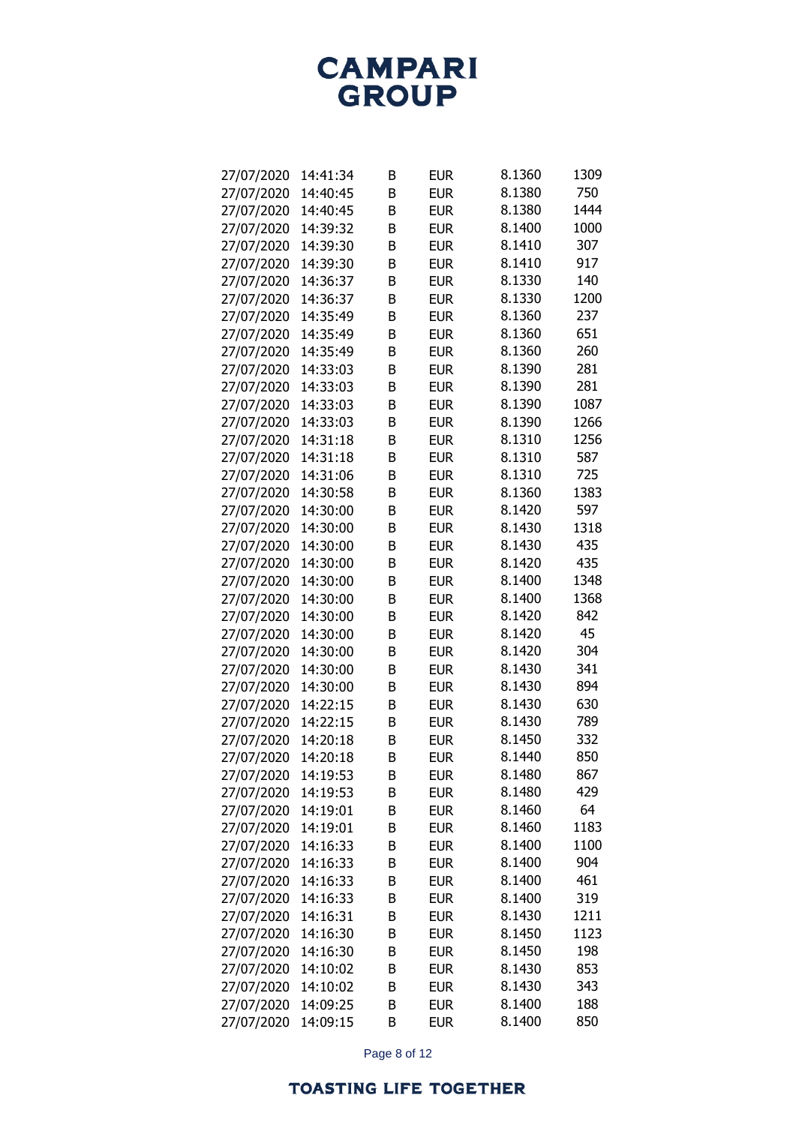| 27/07/2020 | 14:41:34 | В      | <b>EUR</b>               | 8.1360           | 1309 |
|------------|----------|--------|--------------------------|------------------|------|
| 27/07/2020 | 14:40:45 | B      | <b>EUR</b>               | 8.1380           | 750  |
| 27/07/2020 | 14:40:45 | B      | <b>EUR</b>               | 8.1380           | 1444 |
| 27/07/2020 | 14:39:32 | B      | <b>EUR</b>               | 8.1400           | 1000 |
| 27/07/2020 | 14:39:30 | B      | <b>EUR</b>               | 8.1410           | 307  |
| 27/07/2020 | 14:39:30 | B      | <b>EUR</b>               | 8.1410           | 917  |
| 27/07/2020 | 14:36:37 | B      | <b>EUR</b>               | 8.1330           | 140  |
| 27/07/2020 | 14:36:37 | B      | <b>EUR</b>               | 8.1330           | 1200 |
| 27/07/2020 | 14:35:49 | B      | <b>EUR</b>               | 8.1360           | 237  |
| 27/07/2020 | 14:35:49 | B      | <b>EUR</b>               | 8.1360           | 651  |
| 27/07/2020 | 14:35:49 | B      | <b>EUR</b>               | 8.1360           | 260  |
| 27/07/2020 | 14:33:03 | B      | <b>EUR</b>               | 8.1390           | 281  |
| 27/07/2020 | 14:33:03 | B      | <b>EUR</b>               | 8.1390           | 281  |
| 27/07/2020 | 14:33:03 | B      | <b>EUR</b>               | 8.1390           | 1087 |
| 27/07/2020 | 14:33:03 | B      | <b>EUR</b>               | 8.1390           | 1266 |
| 27/07/2020 | 14:31:18 | B      | <b>EUR</b>               | 8.1310           | 1256 |
| 27/07/2020 | 14:31:18 | B      | <b>EUR</b>               | 8.1310           | 587  |
| 27/07/2020 | 14:31:06 | B      | <b>EUR</b>               | 8.1310           | 725  |
| 27/07/2020 | 14:30:58 | B      | <b>EUR</b>               | 8.1360           | 1383 |
| 27/07/2020 | 14:30:00 | B      | <b>EUR</b>               | 8.1420           | 597  |
| 27/07/2020 | 14:30:00 | B      | <b>EUR</b>               | 8.1430           | 1318 |
| 27/07/2020 | 14:30:00 | B      | <b>EUR</b>               | 8.1430           | 435  |
| 27/07/2020 | 14:30:00 | B      | <b>EUR</b>               | 8.1420           | 435  |
| 27/07/2020 | 14:30:00 | B      | <b>EUR</b>               | 8.1400           | 1348 |
| 27/07/2020 | 14:30:00 | B      | <b>EUR</b>               | 8.1400           | 1368 |
| 27/07/2020 | 14:30:00 | B      | <b>EUR</b>               | 8.1420           | 842  |
| 27/07/2020 | 14:30:00 | B      | <b>EUR</b>               | 8.1420           | 45   |
| 27/07/2020 | 14:30:00 | B      | <b>EUR</b>               | 8.1420           | 304  |
| 27/07/2020 | 14:30:00 | B      | <b>EUR</b>               | 8.1430           | 341  |
| 27/07/2020 | 14:30:00 | B      | <b>EUR</b>               | 8.1430           | 894  |
| 27/07/2020 | 14:22:15 | B      | <b>EUR</b>               | 8.1430           | 630  |
| 27/07/2020 | 14:22:15 | B      | <b>EUR</b>               | 8.1430           | 789  |
| 27/07/2020 | 14:20:18 | B      | <b>EUR</b>               | 8.1450           | 332  |
| 27/07/2020 | 14:20:18 | B      | <b>EUR</b>               | 8.1440           | 850  |
| 27/07/2020 | 14:19:53 |        | <b>EUR</b>               | 8.1480           | 867  |
| 27/07/2020 | 14:19:53 | В<br>В | <b>EUR</b>               | 8.1480           | 429  |
|            |          |        |                          | 8.1460           | 64   |
| 27/07/2020 | 14:19:01 | В      | <b>EUR</b><br><b>EUR</b> | 8.1460           | 1183 |
| 27/07/2020 | 14:19:01 | В      |                          |                  |      |
| 27/07/2020 | 14:16:33 | В      | <b>EUR</b>               | 8.1400<br>8.1400 | 1100 |
| 27/07/2020 | 14:16:33 | В      | <b>EUR</b>               |                  | 904  |
| 27/07/2020 | 14:16:33 | В      | <b>EUR</b>               | 8.1400           | 461  |
| 27/07/2020 | 14:16:33 | В      | <b>EUR</b>               | 8.1400           | 319  |
| 27/07/2020 | 14:16:31 | B      | <b>EUR</b>               | 8.1430           | 1211 |
| 27/07/2020 | 14:16:30 | B      | <b>EUR</b>               | 8.1450           | 1123 |
| 27/07/2020 | 14:16:30 | B      | <b>EUR</b>               | 8.1450           | 198  |
| 27/07/2020 | 14:10:02 | В      | <b>EUR</b>               | 8.1430           | 853  |
| 27/07/2020 | 14:10:02 | В      | <b>EUR</b>               | 8.1430           | 343  |
| 27/07/2020 | 14:09:25 | В      | <b>EUR</b>               | 8.1400           | 188  |
| 27/07/2020 | 14:09:15 | B      | <b>EUR</b>               | 8.1400           | 850  |

Page 8 of 12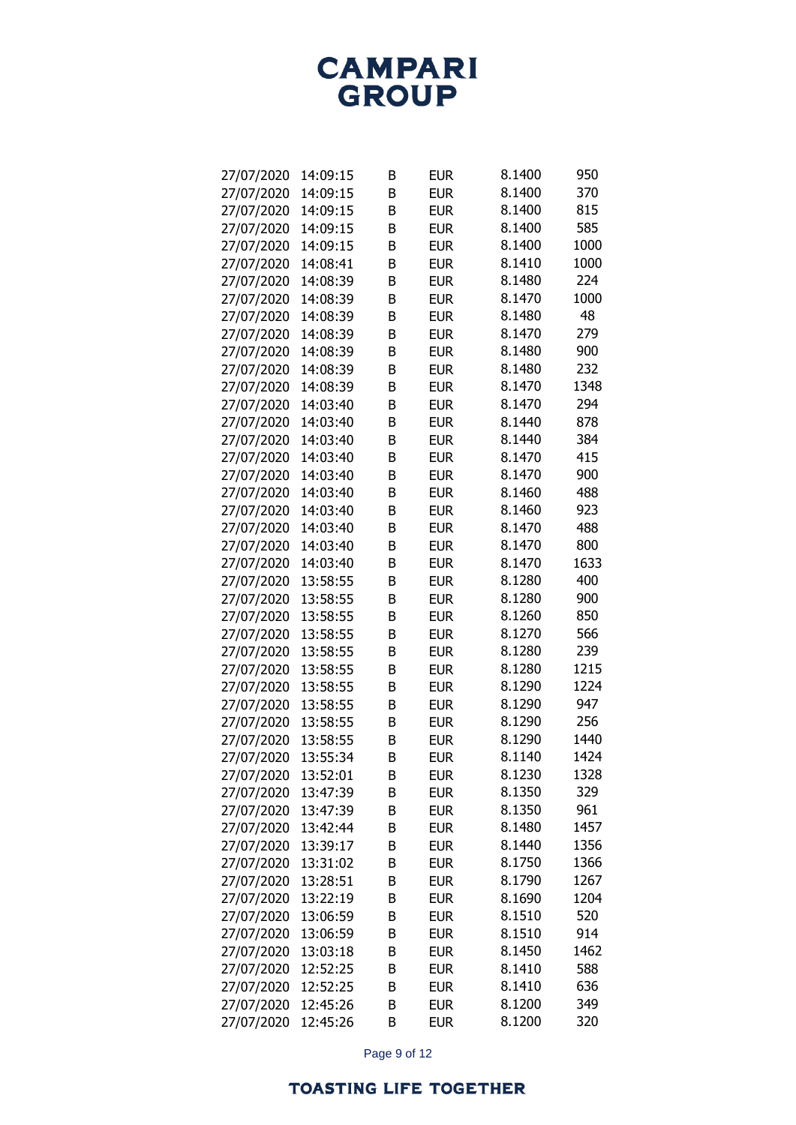| 27/07/2020 | 14:09:15 | В | <b>EUR</b> | 8.1400 | 950  |
|------------|----------|---|------------|--------|------|
| 27/07/2020 | 14:09:15 | B | <b>EUR</b> | 8.1400 | 370  |
| 27/07/2020 | 14:09:15 | B | <b>EUR</b> | 8.1400 | 815  |
| 27/07/2020 | 14:09:15 | B | <b>EUR</b> | 8.1400 | 585  |
| 27/07/2020 | 14:09:15 | B | <b>EUR</b> | 8.1400 | 1000 |
| 27/07/2020 | 14:08:41 | B | <b>EUR</b> | 8.1410 | 1000 |
| 27/07/2020 | 14:08:39 | B | <b>EUR</b> | 8.1480 | 224  |
| 27/07/2020 | 14:08:39 | B | <b>EUR</b> | 8.1470 | 1000 |
| 27/07/2020 | 14:08:39 | B | <b>EUR</b> | 8.1480 | 48   |
| 27/07/2020 | 14:08:39 | B | <b>EUR</b> | 8.1470 | 279  |
| 27/07/2020 | 14:08:39 | B | <b>EUR</b> | 8.1480 | 900  |
| 27/07/2020 | 14:08:39 | B | <b>EUR</b> | 8.1480 | 232  |
| 27/07/2020 | 14:08:39 | B | <b>EUR</b> | 8.1470 | 1348 |
| 27/07/2020 | 14:03:40 | B | <b>EUR</b> | 8.1470 | 294  |
| 27/07/2020 | 14:03:40 | B | <b>EUR</b> | 8.1440 | 878  |
| 27/07/2020 | 14:03:40 | B | <b>EUR</b> | 8.1440 | 384  |
| 27/07/2020 | 14:03:40 | B | <b>EUR</b> | 8.1470 | 415  |
| 27/07/2020 | 14:03:40 | B | <b>EUR</b> | 8.1470 | 900  |
| 27/07/2020 | 14:03:40 | B | <b>EUR</b> | 8.1460 | 488  |
| 27/07/2020 | 14:03:40 | B | <b>EUR</b> | 8.1460 | 923  |
| 27/07/2020 | 14:03:40 | B | <b>EUR</b> | 8.1470 | 488  |
| 27/07/2020 | 14:03:40 | B | <b>EUR</b> | 8.1470 | 800  |
| 27/07/2020 | 14:03:40 | B | <b>EUR</b> | 8.1470 | 1633 |
| 27/07/2020 | 13:58:55 | B | <b>EUR</b> | 8.1280 | 400  |
| 27/07/2020 | 13:58:55 | B | <b>EUR</b> | 8.1280 | 900  |
| 27/07/2020 | 13:58:55 | B | <b>EUR</b> | 8.1260 | 850  |
| 27/07/2020 | 13:58:55 | B | <b>EUR</b> | 8.1270 | 566  |
| 27/07/2020 | 13:58:55 | B | <b>EUR</b> | 8.1280 | 239  |
| 27/07/2020 | 13:58:55 | B | <b>EUR</b> | 8.1280 | 1215 |
| 27/07/2020 | 13:58:55 | B | <b>EUR</b> | 8.1290 | 1224 |
| 27/07/2020 | 13:58:55 | B | <b>EUR</b> | 8.1290 | 947  |
| 27/07/2020 | 13:58:55 | B | <b>EUR</b> | 8.1290 | 256  |
| 27/07/2020 | 13:58:55 | B | <b>EUR</b> | 8.1290 | 1440 |
| 27/07/2020 | 13:55:34 | B | <b>EUR</b> | 8.1140 | 1424 |
| 27/07/2020 | 13:52:01 | В | <b>EUR</b> | 8.1230 | 1328 |
| 27/07/2020 | 13:47:39 | В | <b>EUR</b> | 8.1350 | 329  |
| 27/07/2020 | 13:47:39 | В | <b>EUR</b> | 8.1350 | 961  |
| 27/07/2020 | 13:42:44 | В | <b>EUR</b> | 8.1480 | 1457 |
| 27/07/2020 | 13:39:17 | В | <b>EUR</b> | 8.1440 | 1356 |
| 27/07/2020 | 13:31:02 | В | <b>EUR</b> | 8.1750 | 1366 |
| 27/07/2020 | 13:28:51 | В | <b>EUR</b> | 8.1790 | 1267 |
| 27/07/2020 | 13:22:19 | В | <b>EUR</b> | 8.1690 | 1204 |
| 27/07/2020 | 13:06:59 | В | <b>EUR</b> | 8.1510 | 520  |
| 27/07/2020 | 13:06:59 | В | <b>EUR</b> | 8.1510 | 914  |
| 27/07/2020 | 13:03:18 | B | <b>EUR</b> | 8.1450 | 1462 |
| 27/07/2020 | 12:52:25 | В | <b>EUR</b> | 8.1410 | 588  |
| 27/07/2020 | 12:52:25 | В | <b>EUR</b> | 8.1410 | 636  |
| 27/07/2020 | 12:45:26 | В | <b>EUR</b> | 8.1200 | 349  |
| 27/07/2020 | 12:45:26 | B | <b>EUR</b> | 8.1200 | 320  |

Page 9 of 12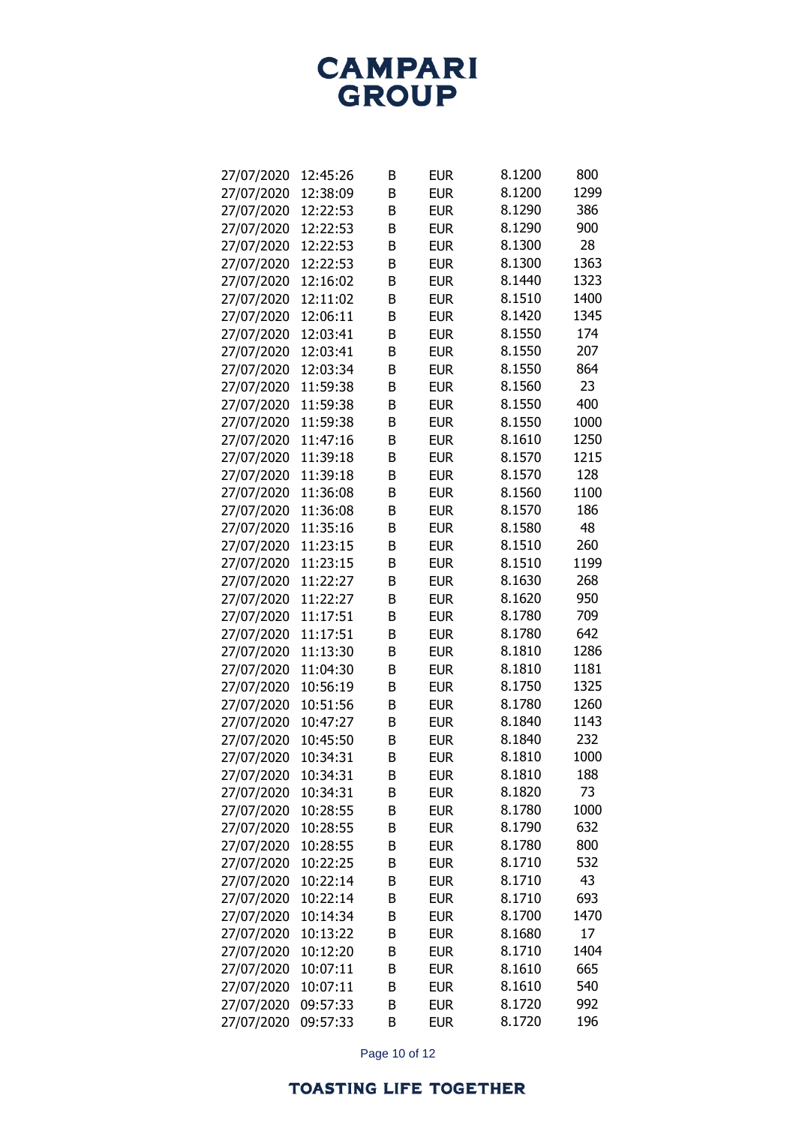| 27/07/2020 | 12:45:26 | В | <b>EUR</b> | 8.1200 | 800  |
|------------|----------|---|------------|--------|------|
| 27/07/2020 | 12:38:09 | B | <b>EUR</b> | 8.1200 | 1299 |
| 27/07/2020 | 12:22:53 | B | <b>EUR</b> | 8.1290 | 386  |
| 27/07/2020 | 12:22:53 | B | <b>EUR</b> | 8.1290 | 900  |
| 27/07/2020 | 12:22:53 | B | <b>EUR</b> | 8.1300 | 28   |
| 27/07/2020 | 12:22:53 | B | <b>EUR</b> | 8.1300 | 1363 |
| 27/07/2020 | 12:16:02 | B | <b>EUR</b> | 8.1440 | 1323 |
| 27/07/2020 | 12:11:02 | B | <b>EUR</b> | 8.1510 | 1400 |
| 27/07/2020 | 12:06:11 | B | <b>EUR</b> | 8.1420 | 1345 |
| 27/07/2020 | 12:03:41 | B | <b>EUR</b> | 8.1550 | 174  |
| 27/07/2020 | 12:03:41 | B | <b>EUR</b> | 8.1550 | 207  |
| 27/07/2020 | 12:03:34 | B | <b>EUR</b> | 8.1550 | 864  |
| 27/07/2020 | 11:59:38 | B | <b>EUR</b> | 8.1560 | 23   |
| 27/07/2020 | 11:59:38 | B | <b>EUR</b> | 8.1550 | 400  |
| 27/07/2020 | 11:59:38 | B | <b>EUR</b> | 8.1550 | 1000 |
| 27/07/2020 | 11:47:16 | B | <b>EUR</b> | 8.1610 | 1250 |
| 27/07/2020 | 11:39:18 | B | <b>EUR</b> | 8.1570 | 1215 |
| 27/07/2020 | 11:39:18 | B | <b>EUR</b> | 8.1570 | 128  |
| 27/07/2020 | 11:36:08 | B | <b>EUR</b> | 8.1560 | 1100 |
| 27/07/2020 | 11:36:08 | B | <b>EUR</b> | 8.1570 | 186  |
| 27/07/2020 | 11:35:16 | B | <b>EUR</b> | 8.1580 | 48   |
| 27/07/2020 | 11:23:15 | B | <b>EUR</b> | 8.1510 | 260  |
| 27/07/2020 | 11:23:15 | B | <b>EUR</b> | 8.1510 | 1199 |
| 27/07/2020 | 11:22:27 | B | <b>EUR</b> | 8.1630 | 268  |
| 27/07/2020 | 11:22:27 | B | <b>EUR</b> | 8.1620 | 950  |
| 27/07/2020 | 11:17:51 | B | <b>EUR</b> | 8.1780 | 709  |
| 27/07/2020 | 11:17:51 | B | <b>EUR</b> | 8.1780 | 642  |
| 27/07/2020 | 11:13:30 | B | <b>EUR</b> | 8.1810 | 1286 |
| 27/07/2020 | 11:04:30 | B | <b>EUR</b> | 8.1810 | 1181 |
| 27/07/2020 | 10:56:19 | B | <b>EUR</b> | 8.1750 | 1325 |
| 27/07/2020 | 10:51:56 | B | <b>EUR</b> | 8.1780 | 1260 |
| 27/07/2020 | 10:47:27 | B | <b>EUR</b> | 8.1840 | 1143 |
| 27/07/2020 | 10:45:50 | B | <b>EUR</b> | 8.1840 | 232  |
| 27/07/2020 | 10:34:31 | B | <b>EUR</b> | 8.1810 | 1000 |
| 27/07/2020 | 10:34:31 | В | <b>EUR</b> | 8.1810 | 188  |
| 27/07/2020 | 10:34:31 | В | <b>EUR</b> | 8.1820 | 73   |
| 27/07/2020 | 10:28:55 | В | <b>EUR</b> | 8.1780 | 1000 |
| 27/07/2020 | 10:28:55 | В | <b>EUR</b> | 8.1790 | 632  |
| 27/07/2020 | 10:28:55 | В | <b>EUR</b> | 8.1780 | 800  |
| 27/07/2020 | 10:22:25 | B | <b>EUR</b> | 8.1710 | 532  |
| 27/07/2020 | 10:22:14 | В | <b>EUR</b> | 8.1710 | 43   |
| 27/07/2020 | 10:22:14 | В | <b>EUR</b> | 8.1710 | 693  |
| 27/07/2020 | 10:14:34 | B | <b>EUR</b> | 8.1700 | 1470 |
| 27/07/2020 | 10:13:22 | В | <b>EUR</b> | 8.1680 | 17   |
| 27/07/2020 | 10:12:20 | B | <b>EUR</b> | 8.1710 | 1404 |
| 27/07/2020 | 10:07:11 | В | <b>EUR</b> | 8.1610 | 665  |
| 27/07/2020 | 10:07:11 | В | <b>EUR</b> | 8.1610 | 540  |
| 27/07/2020 | 09:57:33 | B | <b>EUR</b> | 8.1720 | 992  |
| 27/07/2020 | 09:57:33 | B | <b>EUR</b> | 8.1720 | 196  |

Page 10 of 12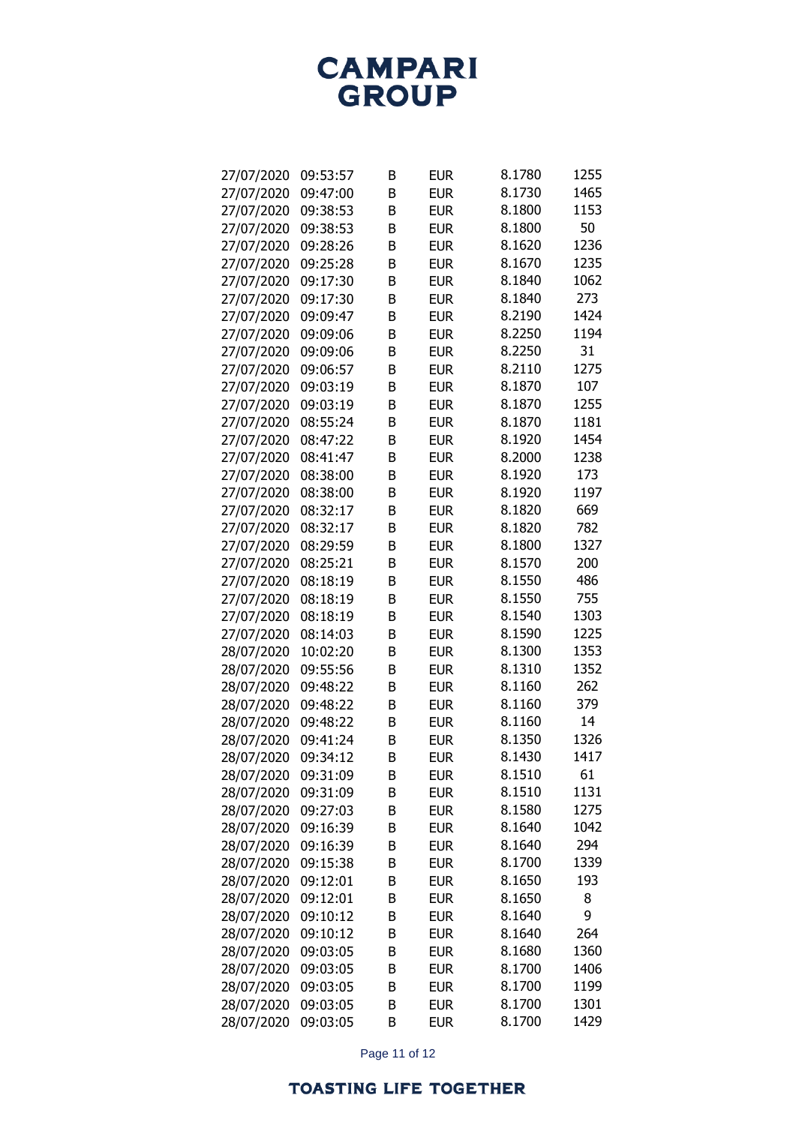| 27/07/2020 | 09:53:57 | В      | <b>EUR</b> | 8.1780 | 1255 |
|------------|----------|--------|------------|--------|------|
| 27/07/2020 | 09:47:00 | B      | <b>EUR</b> | 8.1730 | 1465 |
| 27/07/2020 | 09:38:53 | B      | <b>EUR</b> | 8.1800 | 1153 |
| 27/07/2020 | 09:38:53 | B      | <b>EUR</b> | 8.1800 | 50   |
| 27/07/2020 | 09:28:26 | B      | <b>EUR</b> | 8.1620 | 1236 |
| 27/07/2020 | 09:25:28 | B      | <b>EUR</b> | 8.1670 | 1235 |
| 27/07/2020 | 09:17:30 | B      | <b>EUR</b> | 8.1840 | 1062 |
| 27/07/2020 | 09:17:30 | B      | <b>EUR</b> | 8.1840 | 273  |
| 27/07/2020 | 09:09:47 | B      | <b>EUR</b> | 8.2190 | 1424 |
| 27/07/2020 | 09:09:06 | B      | <b>EUR</b> | 8.2250 | 1194 |
| 27/07/2020 | 09:09:06 | B      | <b>EUR</b> | 8.2250 | 31   |
| 27/07/2020 | 09:06:57 | B      | <b>EUR</b> | 8.2110 | 1275 |
| 27/07/2020 | 09:03:19 | B      | <b>EUR</b> | 8.1870 | 107  |
| 27/07/2020 | 09:03:19 | B      | <b>EUR</b> | 8.1870 | 1255 |
| 27/07/2020 | 08:55:24 | B      | <b>EUR</b> | 8.1870 | 1181 |
| 27/07/2020 | 08:47:22 | B      | <b>EUR</b> | 8.1920 | 1454 |
| 27/07/2020 | 08:41:47 | B      | <b>EUR</b> | 8.2000 | 1238 |
| 27/07/2020 | 08:38:00 | B      | <b>EUR</b> | 8.1920 | 173  |
| 27/07/2020 | 08:38:00 | B      | <b>EUR</b> | 8.1920 | 1197 |
| 27/07/2020 | 08:32:17 | B      | <b>EUR</b> | 8.1820 | 669  |
| 27/07/2020 | 08:32:17 | B      | <b>EUR</b> | 8.1820 | 782  |
| 27/07/2020 | 08:29:59 | B      | <b>EUR</b> | 8.1800 | 1327 |
| 27/07/2020 | 08:25:21 | B      | <b>EUR</b> | 8.1570 | 200  |
| 27/07/2020 | 08:18:19 | B      | <b>EUR</b> | 8.1550 | 486  |
| 27/07/2020 | 08:18:19 | B      | <b>EUR</b> | 8.1550 | 755  |
| 27/07/2020 | 08:18:19 | B      | <b>EUR</b> | 8.1540 | 1303 |
| 27/07/2020 | 08:14:03 | B      | <b>EUR</b> | 8.1590 | 1225 |
| 28/07/2020 | 10:02:20 | B      | <b>EUR</b> | 8.1300 | 1353 |
| 28/07/2020 | 09:55:56 | B      | <b>EUR</b> | 8.1310 | 1352 |
| 28/07/2020 | 09:48:22 | B      | <b>EUR</b> | 8.1160 | 262  |
| 28/07/2020 | 09:48:22 | B      | <b>EUR</b> | 8.1160 | 379  |
| 28/07/2020 | 09:48:22 | B      | <b>EUR</b> | 8.1160 | 14   |
| 28/07/2020 | 09:41:24 | B      | <b>EUR</b> | 8.1350 | 1326 |
| 28/07/2020 | 09:34:12 | B      | <b>EUR</b> | 8.1430 | 1417 |
| 28/07/2020 | 09:31:09 |        | <b>EUR</b> | 8.1510 | 61   |
|            | 09:31:09 | В<br>В | <b>EUR</b> | 8.1510 | 1131 |
| 28/07/2020 | 09:27:03 |        |            | 8.1580 | 1275 |
| 28/07/2020 | 09:16:39 | В<br>B | <b>EUR</b> | 8.1640 | 1042 |
| 28/07/2020 |          |        | <b>EUR</b> |        |      |
| 28/07/2020 | 09:16:39 | В      | <b>EUR</b> | 8.1640 | 294  |
| 28/07/2020 | 09:15:38 | В      | <b>EUR</b> | 8.1700 | 1339 |
| 28/07/2020 | 09:12:01 | В      | <b>EUR</b> | 8.1650 | 193  |
| 28/07/2020 | 09:12:01 | В      | <b>EUR</b> | 8.1650 | 8    |
| 28/07/2020 | 09:10:12 | B      | <b>EUR</b> | 8.1640 | 9    |
| 28/07/2020 | 09:10:12 | B      | <b>EUR</b> | 8.1640 | 264  |
| 28/07/2020 | 09:03:05 | B      | <b>EUR</b> | 8.1680 | 1360 |
| 28/07/2020 | 09:03:05 | В      | <b>EUR</b> | 8.1700 | 1406 |
| 28/07/2020 | 09:03:05 | В      | <b>EUR</b> | 8.1700 | 1199 |
| 28/07/2020 | 09:03:05 | B      | <b>EUR</b> | 8.1700 | 1301 |
| 28/07/2020 | 09:03:05 | B      | <b>EUR</b> | 8.1700 | 1429 |

Page 11 of 12